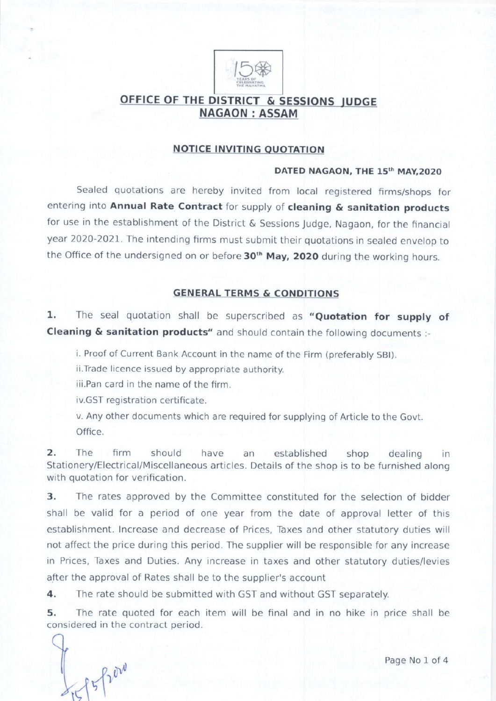

# OFFICE OF THE DISTRICT & SESSIONS JUDGE **NAGAON: ASSAM**

## NOTICE INVITING OUOTATION

#### DATED NAGAON, THE 15th MAY, 2020

Sealed quotations are hereby invited from local registered firms/shops for entering into Annual Rate Contract for supply of cleaning & sanitation products for use in the establishment of the District  $\&$  Sessions Judge, Nagaon, for the financial year 2020-2021. The intending firms must submit their quotations in sealed envelop to the Office of the undersigned on or before 30<sup>th</sup> May, 2020 during the working hours.

### GENERAL TERMS & CONDITIONS

1. The seal quotation shall be superscribed as "Quotation for supply of Cleaning & sanitation products" and should contain the following documents:-

i. Proof of Current Bank Account in the name of the Firm (preferably SBt).

ii.Trade licence issued by appropriate authority.

iii.Pan card in the name of the firm.

iv.GST registration certificate.

v. Any other documents which are required for supplying of Article to the Govt. Office.

2. The firm should have an established shop dealing in Stationery/Electrical/Miscellaneous articles. Details of the shop is to be furnished along with quotation for verification.

3. The rates approved by the Committee constituted for the selection of bidder shall be valid for a period of one year from the date of approval letter of this establishment. lncrease and decrease of Prices, Taxes and other statutory duties will not affect the price during this period. The supplier will be responsible for any increase in Prices, Taxes and Duties. Any increase in taxes and other statutory duties/levies after the approval of Rates shall be to the supplier's account

4. The rate should be submitted with GST and without GST separately.

5, The rate quoted for each item will be final and in no hike in price shall be considered in the contract period.

 $15f1000$ 

Page No 1 of 4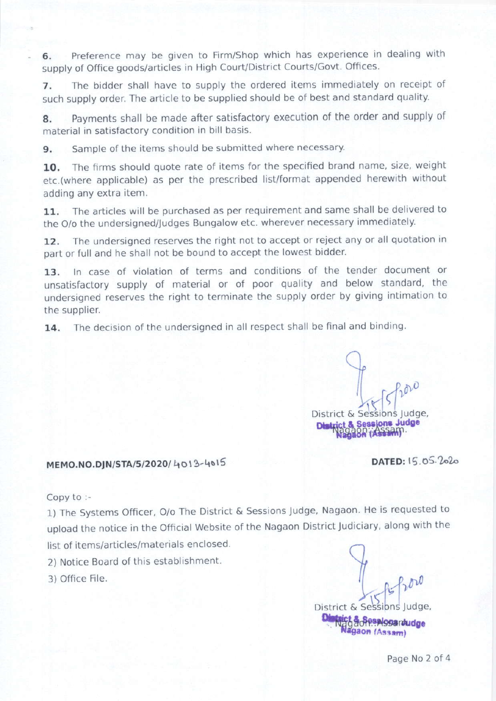6. Preference may be given to Firm/Shop which has experience in dealing with supply of Office goods/articles in High Court/District Courts/Govt. Offices

7. The bidder shall have to supply the ordered items immediately on receipt of such supply order. The article to be supplied should be of best and standard quality.

8. Payments shall be made after satisfactory execution of the order and supply of material in satisfactory condition in bill basis.

9. Sample of the items should be submitted where necessary.

10. The firms should quote rate of items for the specified brand name, size, weight etc.(where applicable) as per the prescribed list/format appended herewith without adding any extra item.

11. The articles will be purchased as per requirement and same shall be delivered to the O/o the undersigned/Judges Bungalow etc. wherever necessary immediately.

12. The undersigned reserves the right not to accept or reject any or all quotation in part or full and he shall not be bound to accept the lowest bidder.

13. In case of violation of terms and conditions of the tender document or unsatisfactory supply of material or of poor quality and below standard, the undersigned reserves the right to terminate the supply order by giving intimation to the supplier.

14. The decision of the undersigned in all respect shall be final and binding.

I from District & Sessions Judge,

MEMO.NO.DJN/STA/5/2020/4013-4015 DATED: 15.05.2020

Copy to :-

1) The Systems Officer, O/o The District & Sessions Judge, Nagaon. He is requested to upload the notice in the Official Website of the Nagaon District Judiciary, along with the

list of items/articles/materials enclosed.

2) Notice Board of this establishment.

3) office File.

**tict & Gesplosantudge**<br>Nagaon (Assam) 9  $L_{11}$   $R_{2}^{100}$ District & Sessions Judge,

Page No 2 of 4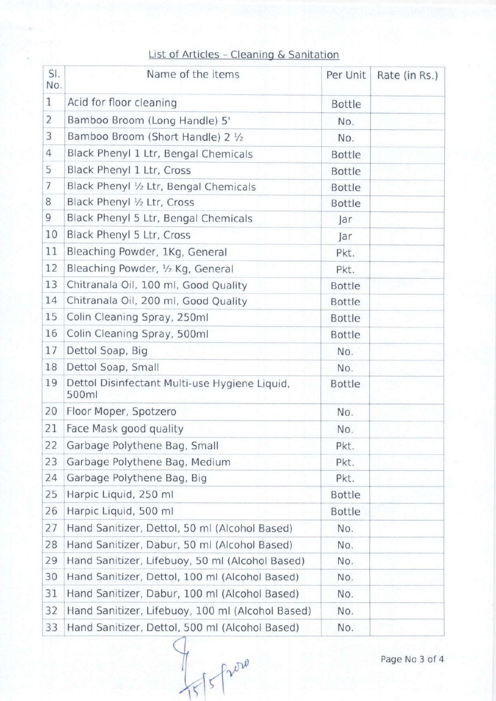# List of Articles - Cleaning & Sanitation

| SI.<br>No.     | Name of the items                                      | Per Unit      | Rate (in Rs.) |  |
|----------------|--------------------------------------------------------|---------------|---------------|--|
| 1              | Acid for floor cleaning                                | <b>Bottle</b> |               |  |
| $\overline{2}$ | Bamboo Broom (Long Handle) 5'                          | No.           |               |  |
| 3              | Bamboo Broom (Short Handle) 2 1/2                      | No.           |               |  |
| $\overline{4}$ | Black Phenyl 1 Ltr, Bengal Chemicals                   | <b>Bottle</b> |               |  |
| 5              | Black Phenyl 1 Ltr, Cross                              | <b>Bottle</b> |               |  |
| $\overline{7}$ | Black Phenyl 1/2 Ltr, Bengal Chemicals                 | <b>Bottle</b> |               |  |
| 8              | Black Phenyl 1/2 Ltr, Cross                            | <b>Bottle</b> |               |  |
| 9              | Black Phenyl 5 Ltr, Bengal Chemicals                   | Jar           |               |  |
| 10             | Black Phenyl 5 Ltr, Cross                              | Jar           |               |  |
| 11             | Bleaching Powder, 1Kg, General                         | Pkt.          |               |  |
| 12             | Bleaching Powder, 1/2 Kg, General                      | Pkt.          |               |  |
| 13             | Chitranala Oil, 100 ml, Good Quality                   | <b>Bottle</b> |               |  |
| 14             | Chitranala Oil, 200 ml, Good Quality                   | <b>Bottle</b> |               |  |
| 15             | Colin Cleaning Spray, 250ml                            | <b>Bottle</b> |               |  |
| 16             | Colin Cleaning Spray, 500ml                            | <b>Bottle</b> |               |  |
| 17             | Dettol Soap, Big                                       | No.           |               |  |
| 18             | Dettol Soap, Small                                     | No.           |               |  |
| 19             | Dettol Disinfectant Multi-use Hygiene Liquid,<br>500ml | <b>Bottle</b> |               |  |
| 20             | Floor Moper, Spotzero                                  | No.           |               |  |
| 21             | Face Mask good quality                                 | No.           |               |  |
| 22             | Garbage Polythene Bag, Small                           | Pkt.          |               |  |
| 23             | Garbage Polythene Bag, Medium                          | Pkt.          |               |  |
| 24             | Garbage Polythene Bag, Big                             | Pkt.          |               |  |
| 25             | Harpic Liquid, 250 ml                                  | <b>Bottle</b> |               |  |
| 26             | Harpic Liquid, 500 ml                                  | <b>Bottle</b> |               |  |
| 27             | Hand Sanitizer, Dettol, 50 ml (Alcohol Based)          | No.           |               |  |
| 28             | Hand Sanitizer, Dabur, 50 ml (Alcohol Based)           | No.           |               |  |
| 29             | Hand Sanitizer, Lifebuoy, 50 ml (Alcohol Based)        | No.           |               |  |
| 30             | Hand Sanitizer, Dettol, 100 ml (Alcohol Based)         | No.           |               |  |
| 31             | Hand Sanitizer, Dabur, 100 ml (Alcohol Based)          | No.           |               |  |
| 32             | Hand Sanitizer, Lifebuoy, 100 ml (Alcohol Based)       | No.           |               |  |
| 33             | Hand Sanitizer, Dettol, 500 ml (Alcohol Based)         | No.           |               |  |
|                |                                                        |               |               |  |

Page No 3 of 4